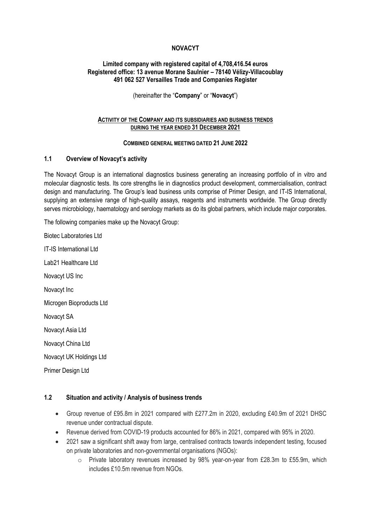### **NOVACYT**

#### **Limited company with registered capital of 4,708,416.54 euros Registered office: 13 avenue Morane Saulnier – 78140 Vélizy-Villacoublay 491 062 527 Versailles Trade and Companies Register**

(hereinafter the "**Company**" or "**Novacyt**")

#### **ACTIVITY OF THE COMPANY AND ITS SUBSIDIARIES AND BUSINESS TRENDS DURING THE YEAR ENDED 31 DECEMBER 2021**

#### **COMBINED GENERAL MEETING DATED 21 JUNE 2022**

#### **1.1 Overview of Novacyt's activity**

The Novacyt Group is an international diagnostics business generating an increasing portfolio of in vitro and molecular diagnostic tests. Its core strengths lie in diagnostics product development, commercialisation, contract design and manufacturing. The Group's lead business units comprise of Primer Design, and IT-IS International, supplying an extensive range of high-quality assays, reagents and instruments worldwide. The Group directly serves microbiology, haematology and serology markets as do its global partners, which include major corporates.

The following companies make up the Novacyt Group:

Biotec Laboratories Ltd IT-IS International Ltd Lab21 Healthcare Ltd Novacyt US Inc Novacyt Inc Microgen Bioproducts Ltd Novacyt SA Novacyt Asia Ltd Novacyt China Ltd Novacyt UK Holdings Ltd Primer Design Ltd

#### **1.2 Situation and activity / Analysis of business trends**

- Group revenue of £95.8m in 2021 compared with £277.2m in 2020, excluding £40.9m of 2021 DHSC revenue under contractual dispute.
- Revenue derived from COVID-19 products accounted for 86% in 2021, compared with 95% in 2020.
- 2021 saw a significant shift away from large, centralised contracts towards independent testing, focused on private laboratories and non-governmental organisations (NGOs):
	- $\circ$  Private laboratory revenues increased by 98% year-on-year from £28.3m to £55.9m, which includes £10.5m revenue from NGOs.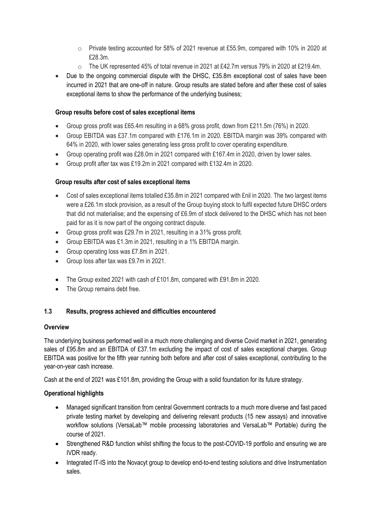- o Private testing accounted for 58% of 2021 revenue at £55.9m, compared with 10% in 2020 at £28.3m.
- $\circ$  The UK represented 45% of total revenue in 2021 at £42.7m versus 79% in 2020 at £219.4m.
- Due to the ongoing commercial dispute with the DHSC, £35.8m exceptional cost of sales have been incurred in 2021 that are one-off in nature. Group results are stated before and after these cost of sales exceptional items to show the performance of the underlying business;

## **Group results before cost of sales exceptional items**

- Group gross profit was £65.4m resulting in a 68% gross profit, down from £211.5m (76%) in 2020.
- Group EBITDA was £37.1m compared with £176.1m in 2020. EBITDA margin was 39% compared with 64% in 2020, with lower sales generating less gross profit to cover operating expenditure.
- Group operating profit was £28.0m in 2021 compared with £167.4m in 2020, driven by lower sales.
- Group profit after tax was £19.2m in 2021 compared with £132.4m in 2020.

## **Group results after cost of sales exceptional items**

- Cost of sales exceptional items totalled £35.8m in 2021 compared with £nil in 2020. The two largest items were a £26.1m stock provision, as a result of the Group buying stock to fulfil expected future DHSC orders that did not materialise; and the expensing of £6.9m of stock delivered to the DHSC which has not been paid for as it is now part of the ongoing contract dispute.
- Group gross profit was £29.7m in 2021, resulting in a 31% gross profit.
- Group EBITDA was £1.3m in 2021, resulting in a 1% EBITDA margin.
- Group operating loss was £7.8m in 2021.
- Group loss after tax was £9.7m in 2021.
- The Group exited 2021 with cash of £101.8m, compared with £91.8m in 2020.
- The Group remains debt free.

## **1.3 Results, progress achieved and difficulties encountered**

## **Overview**

The underlying business performed well in a much more challenging and diverse Covid market in 2021, generating sales of £95.8m and an EBITDA of £37.1m excluding the impact of cost of sales exceptional charges. Group EBITDA was positive for the fifth year running both before and after cost of sales exceptional, contributing to the year-on-year cash increase.

Cash at the end of 2021 was £101.8m, providing the Group with a solid foundation for its future strategy.

## **Operational highlights**

- Managed significant transition from central Government contracts to a much more diverse and fast paced private testing market by developing and delivering relevant products (15 new assays) and innovative workflow solutions (VersaLab™ mobile processing laboratories and VersaLab™ Portable) during the course of 2021.
- Strengthened R&D function whilst shifting the focus to the post-COVID-19 portfolio and ensuring we are IVDR ready.
- Integrated IT-IS into the Novacyt group to develop end-to-end testing solutions and drive Instrumentation sales.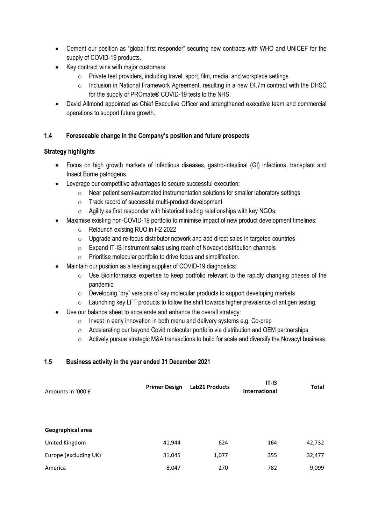- Cement our position as "global first responder" securing new contracts with WHO and UNICEF for the supply of COVID-19 products.
- Key contract wins with major customers:
	- o Private test providers, including travel, sport, film, media, and workplace settings
	- $\circ$  Inclusion in National Framework Agreement, resulting in a new £4.7m contract with the DHSC for the supply of PROmate® COVID-19 tests to the NHS.
- David Allmond appointed as Chief Executive Officer and strengthened executive team and commercial operations to support future growth.

# **1.4 Foreseeable change in the Company's position and future prospects**

## **Strategy highlights**

- Focus on high growth markets of Infectious diseases, gastro-intestinal (GI) infections, transplant and Insect Borne pathogens.
- Leverage our competitive advantages to secure successful execution:
	- o Near patient semi-automated instrumentation solutions for smaller laboratory settings
	- o Track record of successful multi-product development
	- $\circ$  Agility as first responder with historical trading relationships with key NGOs.
- Maximise existing non-COVID-19 portfolio to minimise impact of new product development timelines:
	- o Relaunch existing RUO in H2 2022
	- $\circ$  Upgrade and re-focus distributor network and add direct sales in targeted countries
	- o Expand IT-IS instrument sales using reach of Novacyt distribution channels
	- o Prioritise molecular portfolio to drive focus and simplification.
- Maintain our position as a leading supplier of COVID-19 diagnostics:
	- o Use Bioinformatics expertise to keep portfolio relevant to the rapidly changing phases of the pandemic
	- $\circ$  Developing "dry" versions of key molecular products to support developing markets
	- $\circ$  Launching key LFT products to follow the shift towards higher prevalence of antigen testing.
- Use our balance sheet to accelerate and enhance the overall strategy:
	- o Invest in early innovation in both menu and delivery systems e.g. Co-prep
	- o Accelerating our beyond Covid molecular portfolio via distribution and OEM partnerships
	- $\circ$  Actively pursue strategic M&A transactions to build for scale and diversify the Novacyt business.

# **1.5 Business activity in the year ended 31 December 2021**

| Amounts in '000 £     | <b>Primer Design</b> | Lab21 Products | $IT-IS$<br><b>International</b> | Total  |
|-----------------------|----------------------|----------------|---------------------------------|--------|
|                       |                      |                |                                 |        |
| Geographical area     |                      |                |                                 |        |
| United Kingdom        | 41,944               | 624            | 164                             | 42,732 |
| Europe (excluding UK) | 31,045               | 1,077          | 355                             | 32,477 |
| America               | 8,047                | 270            | 782                             | 9,099  |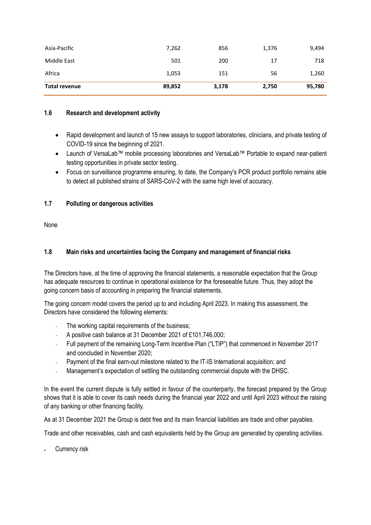| Asia-Pacific<br>Middle East | 7,262<br>501 | 856<br>200 | 1,376<br>17 | 9,494<br>718 |
|-----------------------------|--------------|------------|-------------|--------------|
| Africa                      | 1,053        | 151        | 56          | 1,260        |
| <b>Total revenue</b>        | 89,852       | 3,178      | 2,750       | 95,780       |

## **1.6 Research and development activity**

- Rapid development and launch of 15 new assays to support laboratories, clinicians, and private testing of COVID-19 since the beginning of 2021.
- Launch of VersaLab™ mobile processing laboratories and VersaLab™ Portable to expand near-patient testing opportunities in private sector testing.
- Focus on surveillance programme ensuring, to date, the Company's PCR product portfolio remains able to detect all published strains of SARS-CoV-2 with the same high level of accuracy.

# **1.7 Polluting or dangerous activities**

None

# **1.8 Main risks and uncertainties facing the Company and management of financial risks**

The Directors have, at the time of approving the financial statements, a reasonable expectation that the Group has adequate resources to continue in operational existence for the foreseeable future. Thus, they adopt the going concern basis of accounting in preparing the financial statements.

The going concern model covers the period up to and including April 2023. In making this assessment, the Directors have considered the following elements:

- The working capital requirements of the business;
- A positive cash balance at 31 December 2021 of £101,746,000;
- Full payment of the remaining Long-Term Incentive Plan ("LTIP") that commenced in November 2017 and concluded in November 2020;
- Payment of the final earn-out milestone related to the IT-IS International acquisition; and
- Management's expectation of settling the outstanding commercial dispute with the DHSC.

In the event the current dispute is fully settled in favour of the counterparty, the forecast prepared by the Group shows that it is able to cover its cash needs during the financial year 2022 and until April 2023 without the raising of any banking or other financing facility.

As at 31 December 2021 the Group is debt free and its main financial liabilities are trade and other payables.

Trade and other receivables, cash and cash equivalents held by the Group are generated by operating activities.

Currency risk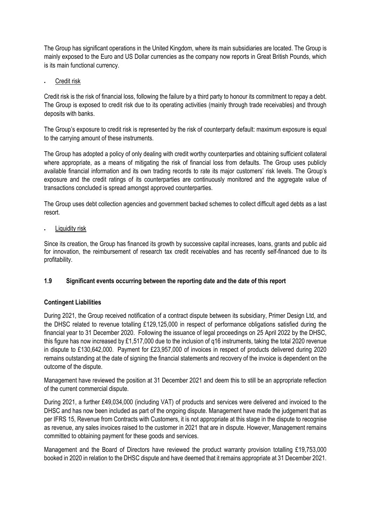The Group has significant operations in the United Kingdom, where its main subsidiaries are located. The Group is mainly exposed to the Euro and US Dollar currencies as the company now reports in Great British Pounds, which is its main functional currency.

• Credit risk

Credit risk is the risk of financial loss, following the failure by a third party to honour its commitment to repay a debt. The Group is exposed to credit risk due to its operating activities (mainly through trade receivables) and through deposits with banks.

The Group's exposure to credit risk is represented by the risk of counterparty default: maximum exposure is equal to the carrying amount of these instruments.

The Group has adopted a policy of only dealing with credit worthy counterparties and obtaining sufficient collateral where appropriate, as a means of mitigating the risk of financial loss from defaults. The Group uses publicly available financial information and its own trading records to rate its major customers' risk levels. The Group's exposure and the credit ratings of its counterparties are continuously monitored and the aggregate value of transactions concluded is spread amongst approved counterparties.

The Group uses debt collection agencies and government backed schemes to collect difficult aged debts as a last resort.

Liquidity risk

Since its creation, the Group has financed its growth by successive capital increases, loans, grants and public aid for innovation, the reimbursement of research tax credit receivables and has recently self-financed due to its profitability.

# **1.9 Significant events occurring between the reporting date and the date of this report**

## **Contingent Liabilities**

During 2021, the Group received notification of a contract dispute between its subsidiary, Primer Design Ltd, and the DHSC related to revenue totalling £129,125,000 in respect of performance obligations satisfied during the financial year to 31 December 2020. Following the issuance of legal proceedings on 25 April 2022 by the DHSC, this figure has now increased by £1,517,000 due to the inclusion of q16 instruments, taking the total 2020 revenue in dispute to £130,642,000. Payment for £23,957,000 of invoices in respect of products delivered during 2020 remains outstanding at the date of signing the financial statements and recovery of the invoice is dependent on the outcome of the dispute.

Management have reviewed the position at 31 December 2021 and deem this to still be an appropriate reflection of the current commercial dispute.

During 2021, a further £49,034,000 (including VAT) of products and services were delivered and invoiced to the DHSC and has now been included as part of the ongoing dispute. Management have made the judgement that as per IFRS 15, Revenue from Contracts with Customers, it is not appropriate at this stage in the dispute to recognise as revenue, any sales invoices raised to the customer in 2021 that are in dispute. However, Management remains committed to obtaining payment for these goods and services.

Management and the Board of Directors have reviewed the product warranty provision totalling £19,753,000 booked in 2020 in relation to the DHSC dispute and have deemed that it remains appropriate at 31 December 2021.